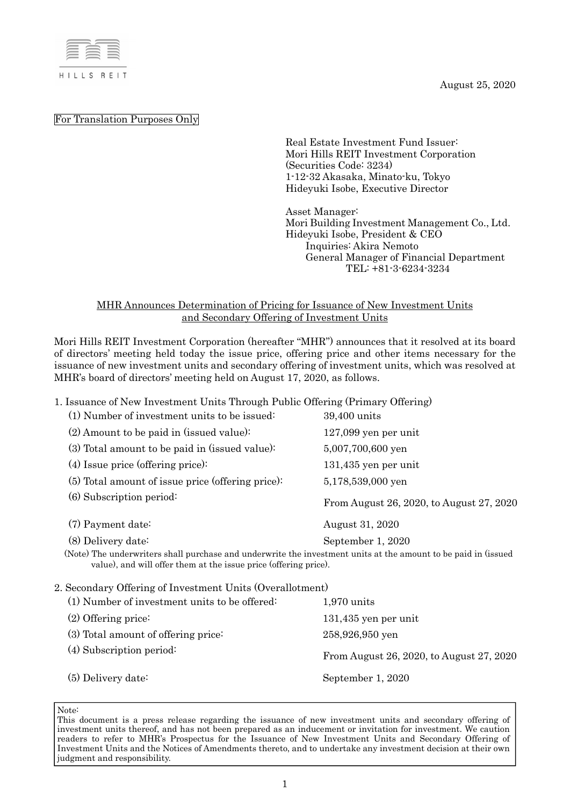August 25, 2020



For Translation Purposes Only

Real Estate Investment Fund Issuer: Mori Hills REIT Investment Corporation (Securities Code: 3234) 1-12-32 Akasaka, Minato-ku, Tokyo Hideyuki Isobe, Executive Director

Asset Manager: Mori Building Investment Management Co., Ltd. Hideyuki Isobe, President & CEO Inquiries: Akira Nemoto General Manager of Financial Department TEL: +81-3-6234-3234

## MHR Announces Determination of Pricing for Issuance of New Investment Units and Secondary Offering of Investment Units

Mori Hills REIT Investment Corporation (hereafter "MHR") announces that it resolved at its board of directors' meeting held today the issue price, offering price and other items necessary for the issuance of new investment units and secondary offering of investment units, which was resolved at MHR's board of directors' meeting held on August 17, 2020, as follows.

1. Issuance of New Investment Units Through Public Offering (Primary Offering)

| (1) Number of investment units to be issued:                                                                                                                                       | 39,400 units                             |  |
|------------------------------------------------------------------------------------------------------------------------------------------------------------------------------------|------------------------------------------|--|
| $(2)$ Amount to be paid in (issued value):                                                                                                                                         | $127,099$ yen per unit                   |  |
| (3) Total amount to be paid in (issued value):                                                                                                                                     | 5,007,700,600 yen                        |  |
| $(4)$ Issue price (offering price):                                                                                                                                                | $131,435$ yen per unit                   |  |
| (5) Total amount of issue price (offering price):                                                                                                                                  | 5,178,539,000 yen                        |  |
| (6) Subscription period:                                                                                                                                                           | From August 26, 2020, to August 27, 2020 |  |
| (7) Payment date:                                                                                                                                                                  | August 31, 2020                          |  |
| $(8)$ Delivery date:                                                                                                                                                               | September 1, 2020                        |  |
| (Note) The underwriters shall purchase and underwrite the investment units at the amount to be paid in (issued<br>value), and will offer them at the issue price (offering price). |                                          |  |
| 2. Secondary Offering of Investment Units (Overallotment)                                                                                                                          |                                          |  |
| (1) Number of investment units to be offered:                                                                                                                                      | $1,970$ units                            |  |
| $(2)$ Offering price:                                                                                                                                                              | $131,435$ yen per unit                   |  |
| (3) Total amount of offering price:                                                                                                                                                | 258,926,950 yen                          |  |
| $(4)$ Subscription period:                                                                                                                                                         | From August 26, 2020, to August 27, 2020 |  |
| $(5)$ Delivery date:                                                                                                                                                               | September 1, 2020                        |  |
|                                                                                                                                                                                    |                                          |  |

Note:

This document is a press release regarding the issuance of new investment units and secondary offering of investment units thereof, and has not been prepared as an inducement or invitation for investment. We caution readers to refer to MHR's Prospectus for the Issuance of New Investment Units and Secondary Offering of Investment Units and the Notices of Amendments thereto, and to undertake any investment decision at their own judgment and responsibility.